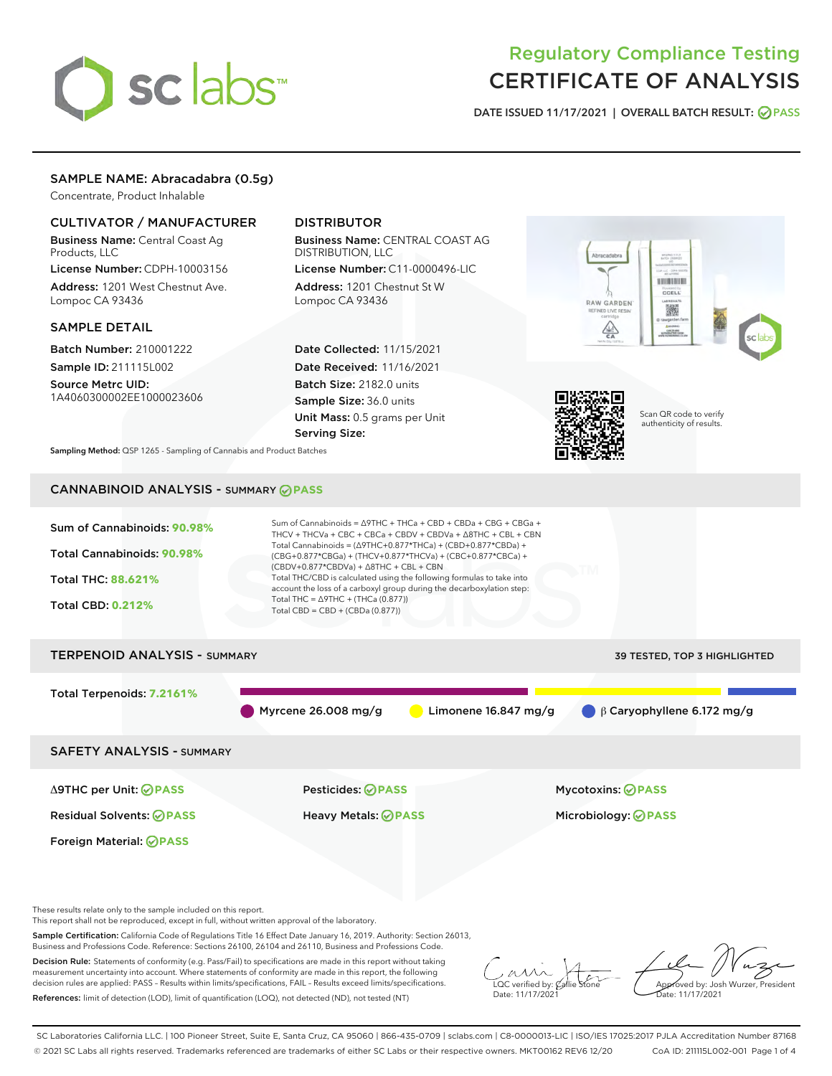# sclabs<sup>\*</sup>

# Regulatory Compliance Testing CERTIFICATE OF ANALYSIS

DATE ISSUED 11/17/2021 | OVERALL BATCH RESULT: @ PASS

# SAMPLE NAME: Abracadabra (0.5g)

Concentrate, Product Inhalable

# CULTIVATOR / MANUFACTURER

Business Name: Central Coast Ag Products, LLC

License Number: CDPH-10003156 Address: 1201 West Chestnut Ave. Lompoc CA 93436

### SAMPLE DETAIL

Batch Number: 210001222 Sample ID: 211115L002

Source Metrc UID: 1A4060300002EE1000023606

# DISTRIBUTOR

Business Name: CENTRAL COAST AG DISTRIBUTION, LLC License Number: C11-0000496-LIC

Address: 1201 Chestnut St W Lompoc CA 93436

Date Collected: 11/15/2021 Date Received: 11/16/2021 Batch Size: 2182.0 units Sample Size: 36.0 units Unit Mass: 0.5 grams per Unit Serving Size:





Scan QR code to verify authenticity of results.

Sampling Method: QSP 1265 - Sampling of Cannabis and Product Batches

# CANNABINOID ANALYSIS - SUMMARY **PASS**



Sample Certification: California Code of Regulations Title 16 Effect Date January 16, 2019. Authority: Section 26013, Business and Professions Code. Reference: Sections 26100, 26104 and 26110, Business and Professions Code.

Decision Rule: Statements of conformity (e.g. Pass/Fail) to specifications are made in this report without taking measurement uncertainty into account. Where statements of conformity are made in this report, the following decision rules are applied: PASS – Results within limits/specifications, FAIL – Results exceed limits/specifications. References: limit of detection (LOD), limit of quantification (LOQ), not detected (ND), not tested (NT)

 $\overline{\text{LOC}}$  verified by:  $\mathcal{C}_i$ Date: 11/17/202<sup>1</sup>

Approved by: Josh Wurzer, President ..<br>te: 11/17/2021

SC Laboratories California LLC. | 100 Pioneer Street, Suite E, Santa Cruz, CA 95060 | 866-435-0709 | sclabs.com | C8-0000013-LIC | ISO/IES 17025:2017 PJLA Accreditation Number 87168 © 2021 SC Labs all rights reserved. Trademarks referenced are trademarks of either SC Labs or their respective owners. MKT00162 REV6 12/20 CoA ID: 211115L002-001 Page 1 of 4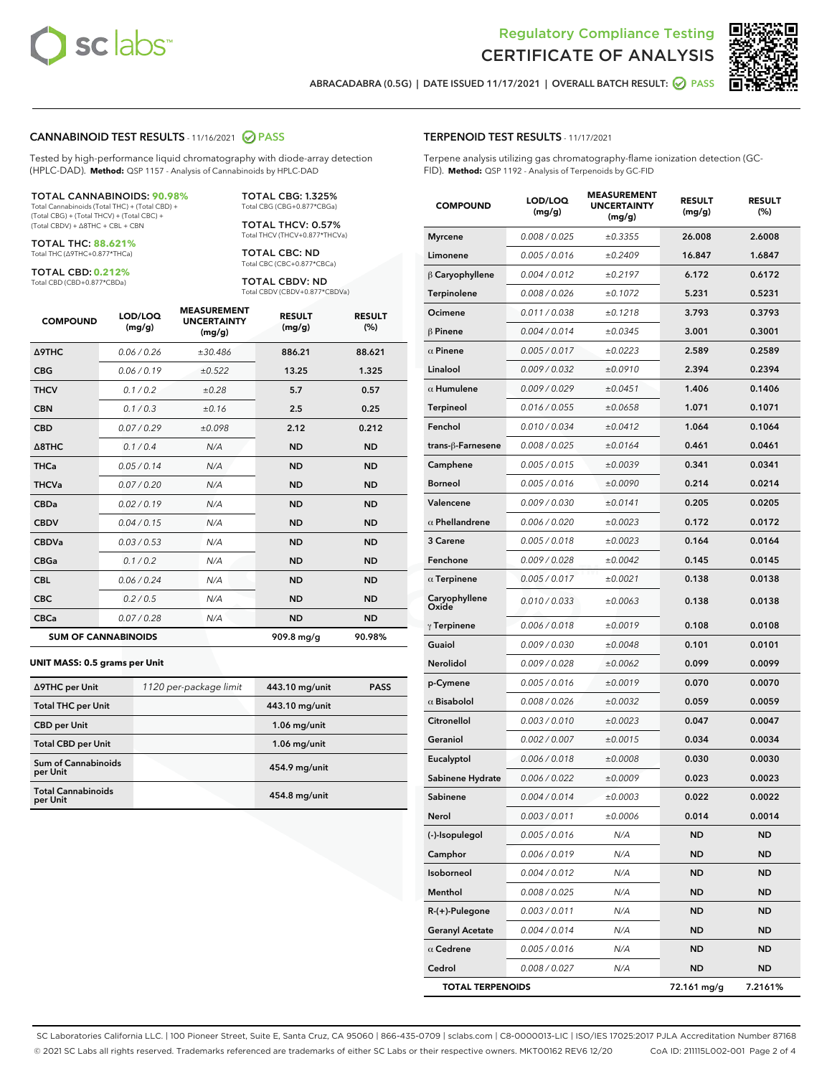



ABRACADABRA (0.5G) | DATE ISSUED 11/17/2021 | OVERALL BATCH RESULT: **● PASS** 

#### CANNABINOID TEST RESULTS - 11/16/2021 2 PASS

Tested by high-performance liquid chromatography with diode-array detection (HPLC-DAD). **Method:** QSP 1157 - Analysis of Cannabinoids by HPLC-DAD

#### TOTAL CANNABINOIDS: **90.98%**

Total Cannabinoids (Total THC) + (Total CBD) + (Total CBG) + (Total THCV) + (Total CBC) + (Total CBDV) + ∆8THC + CBL + CBN

TOTAL THC: **88.621%** Total THC (∆9THC+0.877\*THCa)

TOTAL CBD: **0.212%**

Total CBD (CBD+0.877\*CBDa)

TOTAL CBG: 1.325% Total CBG (CBG+0.877\*CBGa)

TOTAL THCV: 0.57% Total THCV (THCV+0.877\*THCVa)

TOTAL CBC: ND Total CBC (CBC+0.877\*CBCa)

TOTAL CBDV: ND Total CBDV (CBDV+0.877\*CBDVa)

| <b>COMPOUND</b>            | LOD/LOQ<br>(mg/g) | <b>MEASUREMENT</b><br><b>UNCERTAINTY</b><br>(mg/g) | <b>RESULT</b><br>(mg/g) | <b>RESULT</b><br>(%) |
|----------------------------|-------------------|----------------------------------------------------|-------------------------|----------------------|
| <b>A9THC</b>               | 0.06 / 0.26       | ±30.486                                            | 886.21                  | 88.621               |
| <b>CBG</b>                 | 0.06/0.19         | ±0.522                                             | 13.25                   | 1.325                |
| <b>THCV</b>                | 0.1 / 0.2         | ±0.28                                              | 5.7                     | 0.57                 |
| <b>CBN</b>                 | 0.1 / 0.3         | ±0.16                                              | 2.5                     | 0.25                 |
| <b>CBD</b>                 | 0.07/0.29         | ±0.098                                             | 2.12                    | 0.212                |
| $\triangle$ 8THC           | 0.1 / 0.4         | N/A                                                | <b>ND</b>               | <b>ND</b>            |
| <b>THCa</b>                | 0.05/0.14         | N/A                                                | <b>ND</b>               | <b>ND</b>            |
| <b>THCVa</b>               | 0.07/0.20         | N/A                                                | <b>ND</b>               | <b>ND</b>            |
| <b>CBDa</b>                | 0.02/0.19         | N/A                                                | <b>ND</b>               | <b>ND</b>            |
| <b>CBDV</b>                | 0.04/0.15         | N/A                                                | <b>ND</b>               | <b>ND</b>            |
| <b>CBDVa</b>               | 0.03/0.53         | N/A                                                | <b>ND</b>               | <b>ND</b>            |
| <b>CBGa</b>                | 0.1/0.2           | N/A                                                | <b>ND</b>               | <b>ND</b>            |
| <b>CBL</b>                 | 0.06 / 0.24       | N/A                                                | <b>ND</b>               | <b>ND</b>            |
| <b>CBC</b>                 | 0.2 / 0.5         | N/A                                                | <b>ND</b>               | <b>ND</b>            |
| <b>CBCa</b>                | 0.07/0.28         | N/A                                                | <b>ND</b>               | <b>ND</b>            |
| <b>SUM OF CANNABINOIDS</b> |                   |                                                    | 909.8 mg/g              | 90.98%               |

#### **UNIT MASS: 0.5 grams per Unit**

| ∆9THC per Unit                        | 1120 per-package limit | 443.10 mg/unit | <b>PASS</b> |
|---------------------------------------|------------------------|----------------|-------------|
| <b>Total THC per Unit</b>             |                        | 443.10 mg/unit |             |
| <b>CBD</b> per Unit                   |                        | $1.06$ mg/unit |             |
| <b>Total CBD per Unit</b>             |                        | $1.06$ mg/unit |             |
| Sum of Cannabinoids<br>per Unit       |                        | 454.9 mg/unit  |             |
| <b>Total Cannabinoids</b><br>per Unit |                        | 454.8 mg/unit  |             |

| <b>COMPOUND</b>         | LOD/LOQ<br>(mg/g) | <b>MEASUREMENT</b><br>UNCERTAINTY<br>(mg/g) | <b>RESULT</b><br>(mg/g) | <b>RESULT</b><br>(%) |
|-------------------------|-------------------|---------------------------------------------|-------------------------|----------------------|
| <b>Myrcene</b>          | 0.008 / 0.025     | ±0.3355                                     | 26.008                  | 2.6008               |
| Limonene                | 0.005 / 0.016     | ±0.2409                                     | 16.847                  | 1.6847               |
| $\beta$ Caryophyllene   | 0.004 / 0.012     | ±0.2197                                     | 6.172                   | 0.6172               |
| Terpinolene             | 0.008 / 0.026     | ±0.1072                                     | 5.231                   | 0.5231               |
| Ocimene                 | 0.011 / 0.038     | ±0.1218                                     | 3.793                   | 0.3793               |
| <b>β Pinene</b>         | 0.004 / 0.014     | ±0.0345                                     | 3.001                   | 0.3001               |
| $\alpha$ Pinene         | 0.005 / 0.017     | ±0.0223                                     | 2.589                   | 0.2589               |
| Linalool                | 0.009 / 0.032     | ±0.0910                                     | 2.394                   | 0.2394               |
| $\alpha$ Humulene       | 0.009 / 0.029     | ±0.0451                                     | 1.406                   | 0.1406               |
| <b>Terpineol</b>        | 0.016 / 0.055     | ±0.0658                                     | 1.071                   | 0.1071               |
| Fenchol                 | 0.010 / 0.034     | ±0.0412                                     | 1.064                   | 0.1064               |
| trans-ß-Farnesene       | 0.008 / 0.025     | ±0.0164                                     | 0.461                   | 0.0461               |
| Camphene                | 0.005 / 0.015     | ±0.0039                                     | 0.341                   | 0.0341               |
| <b>Borneol</b>          | 0.005 / 0.016     | ±0.0090                                     | 0.214                   | 0.0214               |
| Valencene               | 0.009 / 0.030     | ±0.0141                                     | 0.205                   | 0.0205               |
| $\alpha$ Phellandrene   | 0.006 / 0.020     | ±0.0023                                     | 0.172                   | 0.0172               |
| 3 Carene                | 0.005 / 0.018     | ±0.0023                                     | 0.164                   | 0.0164               |
| Fenchone                | 0.009 / 0.028     | ±0.0042                                     | 0.145                   | 0.0145               |
| $\alpha$ Terpinene      | 0.005 / 0.017     | ±0.0021                                     | 0.138                   | 0.0138               |
| Caryophyllene<br>Oxide  | 0.010 / 0.033     | ±0.0063                                     | 0.138                   | 0.0138               |
| $\gamma$ Terpinene      | 0.006 / 0.018     | ±0.0019                                     | 0.108                   | 0.0108               |
| Guaiol                  | 0.009 / 0.030     | ±0.0048                                     | 0.101                   | 0.0101               |
| Nerolidol               | 0.009 / 0.028     | ±0.0062                                     | 0.099                   | 0.0099               |
| p-Cymene                | 0.005 / 0.016     | ±0.0019                                     | 0.070                   | 0.0070               |
| $\alpha$ Bisabolol      | 0.008 / 0.026     | ±0.0032                                     | 0.059                   | 0.0059               |
| Citronellol             | 0.003 / 0.010     | ±0.0023                                     | 0.047                   | 0.0047               |
| Geraniol                | 0.002 / 0.007     | ±0.0015                                     | 0.034                   | 0.0034               |
| Eucalyptol              | 0.006 / 0.018     | ±0.0008                                     | 0.030                   | 0.0030               |
| Sabinene Hydrate        | 0.006 / 0.022     | ±0.0009                                     | 0.023                   | 0.0023               |
| Sabinene                | 0.004 / 0.014     | ±0.0003                                     | 0.022                   | 0.0022               |
| Nerol                   | 0.003 / 0.011     | ±0.0006                                     | 0.014                   | 0.0014               |
| (-)-Isopulegol          | 0.005 / 0.016     | N/A                                         | <b>ND</b>               | ND                   |
| Camphor                 | 0.006 / 0.019     | N/A                                         | ND                      | ND                   |
| Isoborneol              | 0.004 / 0.012     | N/A                                         | ND                      | ND                   |
| Menthol                 | 0.008 / 0.025     | N/A                                         | <b>ND</b>               | ND                   |
| $R-(+)$ -Pulegone       | 0.003 / 0.011     | N/A                                         | ND                      | ND                   |
| <b>Geranyl Acetate</b>  | 0.004 / 0.014     | N/A                                         | ND                      | ND                   |
| $\alpha$ Cedrene        | 0.005 / 0.016     | N/A                                         | <b>ND</b>               | ND                   |
| Cedrol                  | 0.008 / 0.027     | N/A                                         | ND                      | ND                   |
| <b>TOTAL TERPENOIDS</b> |                   |                                             | 72.161 mg/g             | 7.2161%              |

SC Laboratories California LLC. | 100 Pioneer Street, Suite E, Santa Cruz, CA 95060 | 866-435-0709 | sclabs.com | C8-0000013-LIC | ISO/IES 17025:2017 PJLA Accreditation Number 87168 © 2021 SC Labs all rights reserved. Trademarks referenced are trademarks of either SC Labs or their respective owners. MKT00162 REV6 12/20 CoA ID: 211115L002-001 Page 2 of 4

# TERPENOID TEST RESULTS - 11/17/2021

Terpene analysis utilizing gas chromatography-flame ionization detection (GC-FID). **Method:** QSP 1192 - Analysis of Terpenoids by GC-FID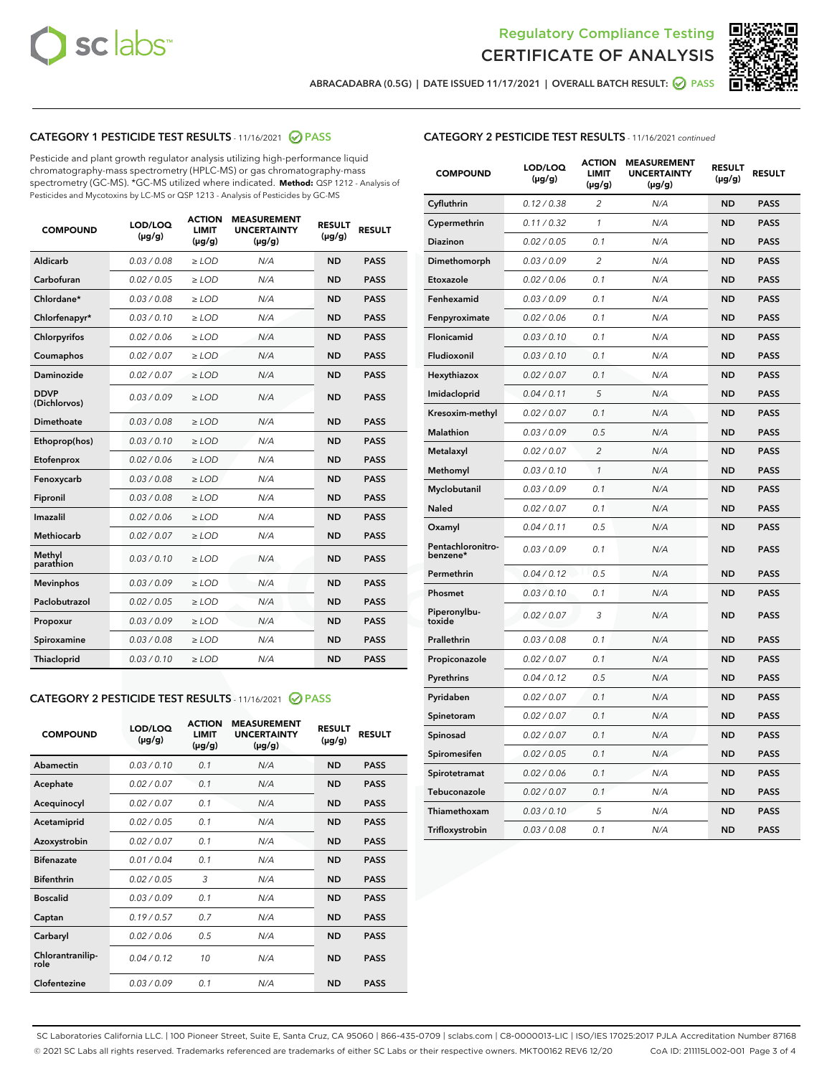



ABRACADABRA (0.5G) | DATE ISSUED 11/17/2021 | OVERALL BATCH RESULT: Ø PASS

# CATEGORY 1 PESTICIDE TEST RESULTS - 11/16/2021 2 PASS

Pesticide and plant growth regulator analysis utilizing high-performance liquid chromatography-mass spectrometry (HPLC-MS) or gas chromatography-mass spectrometry (GC-MS). \*GC-MS utilized where indicated. **Method:** QSP 1212 - Analysis of Pesticides and Mycotoxins by LC-MS or QSP 1213 - Analysis of Pesticides by GC-MS

| <b>COMPOUND</b>             | LOD/LOQ<br>$(\mu g/g)$ | <b>ACTION</b><br><b>LIMIT</b><br>$(\mu g/g)$ | <b>MEASUREMENT</b><br><b>UNCERTAINTY</b><br>$(\mu g/g)$ | <b>RESULT</b><br>$(\mu g/g)$ | <b>RESULT</b> |
|-----------------------------|------------------------|----------------------------------------------|---------------------------------------------------------|------------------------------|---------------|
| Aldicarb                    | 0.03 / 0.08            | $\ge$ LOD                                    | N/A                                                     | <b>ND</b>                    | <b>PASS</b>   |
| Carbofuran                  | 0.02/0.05              | $\ge$ LOD                                    | N/A                                                     | <b>ND</b>                    | <b>PASS</b>   |
| Chlordane*                  | 0.03 / 0.08            | $\ge$ LOD                                    | N/A                                                     | <b>ND</b>                    | <b>PASS</b>   |
| Chlorfenapyr*               | 0.03/0.10              | $\ge$ LOD                                    | N/A                                                     | <b>ND</b>                    | <b>PASS</b>   |
| Chlorpyrifos                | 0.02 / 0.06            | $\ge$ LOD                                    | N/A                                                     | <b>ND</b>                    | <b>PASS</b>   |
| Coumaphos                   | 0.02 / 0.07            | $>$ LOD                                      | N/A                                                     | <b>ND</b>                    | <b>PASS</b>   |
| Daminozide                  | 0.02 / 0.07            | $\ge$ LOD                                    | N/A                                                     | <b>ND</b>                    | <b>PASS</b>   |
| <b>DDVP</b><br>(Dichlorvos) | 0.03/0.09              | $\ge$ LOD                                    | N/A                                                     | <b>ND</b>                    | <b>PASS</b>   |
| Dimethoate                  | 0.03 / 0.08            | $>$ LOD                                      | N/A                                                     | <b>ND</b>                    | <b>PASS</b>   |
| Ethoprop(hos)               | 0.03/0.10              | $\ge$ LOD                                    | N/A                                                     | <b>ND</b>                    | <b>PASS</b>   |
| Etofenprox                  | 0.02 / 0.06            | $\ge$ LOD                                    | N/A                                                     | <b>ND</b>                    | <b>PASS</b>   |
| Fenoxycarb                  | 0.03 / 0.08            | $>$ LOD                                      | N/A                                                     | <b>ND</b>                    | <b>PASS</b>   |
| Fipronil                    | 0.03/0.08              | $\ge$ LOD                                    | N/A                                                     | <b>ND</b>                    | <b>PASS</b>   |
| Imazalil                    | 0.02 / 0.06            | $>$ LOD                                      | N/A                                                     | <b>ND</b>                    | <b>PASS</b>   |
| Methiocarb                  | 0.02 / 0.07            | $\ge$ LOD                                    | N/A                                                     | <b>ND</b>                    | <b>PASS</b>   |
| Methyl<br>parathion         | 0.03/0.10              | $\ge$ LOD                                    | N/A                                                     | <b>ND</b>                    | <b>PASS</b>   |
| <b>Mevinphos</b>            | 0.03/0.09              | $\ge$ LOD                                    | N/A                                                     | <b>ND</b>                    | <b>PASS</b>   |
| Paclobutrazol               | 0.02 / 0.05            | $\ge$ LOD                                    | N/A                                                     | <b>ND</b>                    | <b>PASS</b>   |
| Propoxur                    | 0.03/0.09              | $\ge$ LOD                                    | N/A                                                     | <b>ND</b>                    | <b>PASS</b>   |
| Spiroxamine                 | 0.03 / 0.08            | $\ge$ LOD                                    | N/A                                                     | <b>ND</b>                    | <b>PASS</b>   |
| Thiacloprid                 | 0.03/0.10              | $\ge$ LOD                                    | N/A                                                     | <b>ND</b>                    | <b>PASS</b>   |

### CATEGORY 2 PESTICIDE TEST RESULTS - 11/16/2021 @ PASS

| <b>COMPOUND</b>          | LOD/LOO<br>$(\mu g/g)$ | <b>ACTION</b><br>LIMIT<br>$(\mu g/g)$ | <b>MEASUREMENT</b><br><b>UNCERTAINTY</b><br>$(\mu g/g)$ | <b>RESULT</b><br>$(\mu g/g)$ | <b>RESULT</b> |  |
|--------------------------|------------------------|---------------------------------------|---------------------------------------------------------|------------------------------|---------------|--|
| Abamectin                | 0.03/0.10              | 0.1                                   | N/A                                                     | <b>ND</b>                    | <b>PASS</b>   |  |
| Acephate                 | 0.02/0.07              | 0.1                                   | N/A                                                     | <b>ND</b>                    | <b>PASS</b>   |  |
| Acequinocyl              | 0.02/0.07              | 0.1                                   | N/A                                                     | <b>ND</b>                    | <b>PASS</b>   |  |
| Acetamiprid              | 0.02/0.05              | 0.1                                   | N/A                                                     | <b>ND</b>                    | <b>PASS</b>   |  |
| Azoxystrobin             | 0.02/0.07              | 0.1                                   | N/A                                                     | <b>ND</b>                    | <b>PASS</b>   |  |
| <b>Bifenazate</b>        | 0.01 / 0.04            | 0.1                                   | N/A                                                     | <b>ND</b>                    | <b>PASS</b>   |  |
| <b>Bifenthrin</b>        | 0.02 / 0.05            | 3                                     | N/A                                                     | <b>ND</b>                    | <b>PASS</b>   |  |
| <b>Boscalid</b>          | 0.03/0.09              | 0.1                                   | N/A                                                     | <b>ND</b>                    | <b>PASS</b>   |  |
| Captan                   | 0.19/0.57              | 07                                    | N/A                                                     | <b>ND</b>                    | <b>PASS</b>   |  |
| Carbaryl                 | 0.02/0.06              | 0.5                                   | N/A                                                     | <b>ND</b>                    | <b>PASS</b>   |  |
| Chlorantranilip-<br>role | 0.04/0.12              | 10                                    | N/A                                                     | <b>ND</b>                    | <b>PASS</b>   |  |
| Clofentezine             | 0 03 / 0 09            | 0 <sub>1</sub>                        | N/A                                                     | <b>ND</b>                    | <b>PASS</b>   |  |

| <b>CATEGORY 2 PESTICIDE TEST RESULTS</b> - 11/16/2021 continued |  |  |
|-----------------------------------------------------------------|--|--|
|                                                                 |  |  |

| <b>COMPOUND</b>               | LOD/LOQ<br>(µg/g) | <b>ACTION</b><br>LIMIT<br>$(\mu g/g)$ | <b>MEASUREMENT</b><br><b>UNCERTAINTY</b><br>$(\mu g/g)$ | <b>RESULT</b><br>(µg/g) | <b>RESULT</b> |
|-------------------------------|-------------------|---------------------------------------|---------------------------------------------------------|-------------------------|---------------|
| Cyfluthrin                    | 0.12 / 0.38       | 2                                     | N/A                                                     | <b>ND</b>               | <b>PASS</b>   |
| Cypermethrin                  | 0.11 / 0.32       | $\mathcal{I}$                         | N/A                                                     | <b>ND</b>               | <b>PASS</b>   |
| Diazinon                      | 0.02 / 0.05       | 0.1                                   | N/A                                                     | <b>ND</b>               | <b>PASS</b>   |
| Dimethomorph                  | 0.03 / 0.09       | 2                                     | N/A                                                     | <b>ND</b>               | <b>PASS</b>   |
| Etoxazole                     | 0.02 / 0.06       | 0.1                                   | N/A                                                     | <b>ND</b>               | <b>PASS</b>   |
| Fenhexamid                    | 0.03 / 0.09       | 0.1                                   | N/A                                                     | <b>ND</b>               | <b>PASS</b>   |
| Fenpyroximate                 | 0.02 / 0.06       | 0.1                                   | N/A                                                     | <b>ND</b>               | <b>PASS</b>   |
| Flonicamid                    | 0.03 / 0.10       | 0.1                                   | N/A                                                     | <b>ND</b>               | <b>PASS</b>   |
| Fludioxonil                   | 0.03 / 0.10       | 0.1                                   | N/A                                                     | <b>ND</b>               | <b>PASS</b>   |
| Hexythiazox                   | 0.02 / 0.07       | 0.1                                   | N/A                                                     | <b>ND</b>               | <b>PASS</b>   |
| Imidacloprid                  | 0.04 / 0.11       | 5                                     | N/A                                                     | <b>ND</b>               | <b>PASS</b>   |
| Kresoxim-methyl               | 0.02 / 0.07       | 0.1                                   | N/A                                                     | <b>ND</b>               | <b>PASS</b>   |
| Malathion                     | 0.03 / 0.09       | 0.5                                   | N/A                                                     | <b>ND</b>               | <b>PASS</b>   |
| Metalaxyl                     | 0.02 / 0.07       | $\overline{c}$                        | N/A                                                     | <b>ND</b>               | <b>PASS</b>   |
| Methomyl                      | 0.03 / 0.10       | $\mathcal{I}$                         | N/A                                                     | <b>ND</b>               | <b>PASS</b>   |
| Myclobutanil                  | 0.03 / 0.09       | 0.1                                   | N/A                                                     | <b>ND</b>               | <b>PASS</b>   |
| Naled                         | 0.02 / 0.07       | 0.1                                   | N/A                                                     | <b>ND</b>               | <b>PASS</b>   |
| Oxamyl                        | 0.04 / 0.11       | 0.5                                   | N/A                                                     | <b>ND</b>               | <b>PASS</b>   |
| Pentachloronitro-<br>benzene* | 0.03/0.09         | 0.1                                   | N/A                                                     | <b>ND</b>               | <b>PASS</b>   |
| Permethrin                    | 0.04 / 0.12       | 0.5                                   | N/A                                                     | <b>ND</b>               | <b>PASS</b>   |
| Phosmet                       | 0.03 / 0.10       | 0.1                                   | N/A                                                     | <b>ND</b>               | <b>PASS</b>   |
| Piperonylbu-<br>toxide        | 0.02 / 0.07       | 3                                     | N/A                                                     | <b>ND</b>               | <b>PASS</b>   |
| Prallethrin                   | 0.03 / 0.08       | 0.1                                   | N/A                                                     | <b>ND</b>               | <b>PASS</b>   |
| Propiconazole                 | 0.02 / 0.07       | 0.1                                   | N/A                                                     | <b>ND</b>               | <b>PASS</b>   |
| Pyrethrins                    | 0.04 / 0.12       | 0.5                                   | N/A                                                     | <b>ND</b>               | <b>PASS</b>   |
| Pyridaben                     | 0.02 / 0.07       | 0.1                                   | N/A                                                     | <b>ND</b>               | <b>PASS</b>   |
| Spinetoram                    | 0.02 / 0.07       | 0.1                                   | N/A                                                     | <b>ND</b>               | <b>PASS</b>   |
| Spinosad                      | 0.02 / 0.07       | 0.1                                   | N/A                                                     | <b>ND</b>               | <b>PASS</b>   |
| Spiromesifen                  | 0.02 / 0.05       | 0.1                                   | N/A                                                     | <b>ND</b>               | <b>PASS</b>   |
| Spirotetramat                 | 0.02 / 0.06       | 0.1                                   | N/A                                                     | <b>ND</b>               | <b>PASS</b>   |
| Tebuconazole                  | 0.02 / 0.07       | 0.1                                   | N/A                                                     | <b>ND</b>               | <b>PASS</b>   |
| Thiamethoxam                  | 0.03 / 0.10       | 5                                     | N/A                                                     | <b>ND</b>               | <b>PASS</b>   |
| Trifloxystrobin               | 0.03 / 0.08       | 0.1                                   | N/A                                                     | <b>ND</b>               | <b>PASS</b>   |

SC Laboratories California LLC. | 100 Pioneer Street, Suite E, Santa Cruz, CA 95060 | 866-435-0709 | sclabs.com | C8-0000013-LIC | ISO/IES 17025:2017 PJLA Accreditation Number 87168 © 2021 SC Labs all rights reserved. Trademarks referenced are trademarks of either SC Labs or their respective owners. MKT00162 REV6 12/20 CoA ID: 211115L002-001 Page 3 of 4